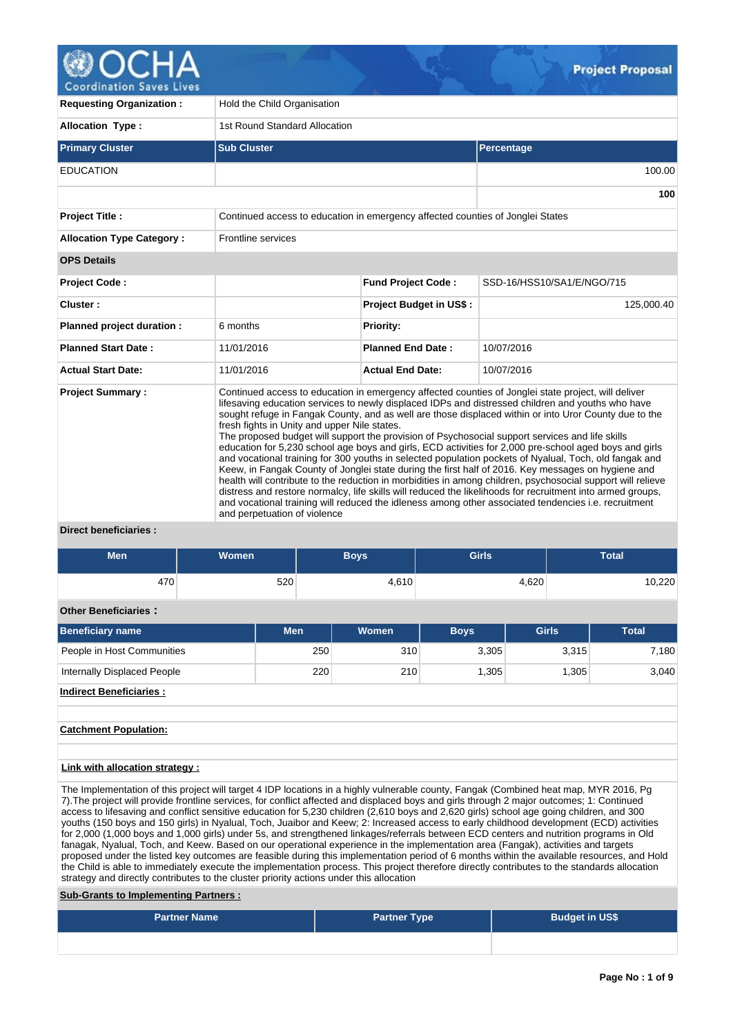

**Coordination Saves Lives** 

| <b>Requesting Organization:</b>                  | Hold the Child Organisation                                                    |                                |                                                                                                                                                                                                                                                                                                                                                                                                                                                                                                                                                                                                                                                                                                                                                                                                                                                                                                                                                                                                                                                                                     |
|--------------------------------------------------|--------------------------------------------------------------------------------|--------------------------------|-------------------------------------------------------------------------------------------------------------------------------------------------------------------------------------------------------------------------------------------------------------------------------------------------------------------------------------------------------------------------------------------------------------------------------------------------------------------------------------------------------------------------------------------------------------------------------------------------------------------------------------------------------------------------------------------------------------------------------------------------------------------------------------------------------------------------------------------------------------------------------------------------------------------------------------------------------------------------------------------------------------------------------------------------------------------------------------|
| <b>Allocation Type:</b>                          | 1st Round Standard Allocation                                                  |                                |                                                                                                                                                                                                                                                                                                                                                                                                                                                                                                                                                                                                                                                                                                                                                                                                                                                                                                                                                                                                                                                                                     |
| <b>Primary Cluster</b>                           | <b>Sub Cluster</b>                                                             |                                | Percentage                                                                                                                                                                                                                                                                                                                                                                                                                                                                                                                                                                                                                                                                                                                                                                                                                                                                                                                                                                                                                                                                          |
| <b>EDUCATION</b>                                 |                                                                                |                                | 100.00                                                                                                                                                                                                                                                                                                                                                                                                                                                                                                                                                                                                                                                                                                                                                                                                                                                                                                                                                                                                                                                                              |
|                                                  |                                                                                |                                | 100                                                                                                                                                                                                                                                                                                                                                                                                                                                                                                                                                                                                                                                                                                                                                                                                                                                                                                                                                                                                                                                                                 |
| <b>Project Title:</b>                            | Continued access to education in emergency affected counties of Jonglei States |                                |                                                                                                                                                                                                                                                                                                                                                                                                                                                                                                                                                                                                                                                                                                                                                                                                                                                                                                                                                                                                                                                                                     |
| <b>Allocation Type Category:</b>                 | Frontline services                                                             |                                |                                                                                                                                                                                                                                                                                                                                                                                                                                                                                                                                                                                                                                                                                                                                                                                                                                                                                                                                                                                                                                                                                     |
| <b>OPS Details</b>                               |                                                                                |                                |                                                                                                                                                                                                                                                                                                                                                                                                                                                                                                                                                                                                                                                                                                                                                                                                                                                                                                                                                                                                                                                                                     |
| Project Code:                                    |                                                                                | <b>Fund Project Code:</b>      | SSD-16/HSS10/SA1/E/NGO/715                                                                                                                                                                                                                                                                                                                                                                                                                                                                                                                                                                                                                                                                                                                                                                                                                                                                                                                                                                                                                                                          |
| Cluster:                                         |                                                                                | <b>Project Budget in US\$:</b> | 125,000.40                                                                                                                                                                                                                                                                                                                                                                                                                                                                                                                                                                                                                                                                                                                                                                                                                                                                                                                                                                                                                                                                          |
| Planned project duration :                       | 6 months                                                                       | <b>Priority:</b>               |                                                                                                                                                                                                                                                                                                                                                                                                                                                                                                                                                                                                                                                                                                                                                                                                                                                                                                                                                                                                                                                                                     |
| <b>Planned Start Date:</b>                       | 11/01/2016                                                                     | <b>Planned End Date:</b>       | 10/07/2016                                                                                                                                                                                                                                                                                                                                                                                                                                                                                                                                                                                                                                                                                                                                                                                                                                                                                                                                                                                                                                                                          |
| <b>Actual Start Date:</b>                        | 11/01/2016                                                                     | <b>Actual End Date:</b>        | 10/07/2016                                                                                                                                                                                                                                                                                                                                                                                                                                                                                                                                                                                                                                                                                                                                                                                                                                                                                                                                                                                                                                                                          |
| <b>Project Summary:</b><br>Divant honoficiarion. | fresh fights in Unity and upper Nile states.<br>and perpetuation of violence   |                                | Continued access to education in emergency affected counties of Jonglei state project, will deliver<br>lifesaving education services to newly displaced IDPs and distressed children and youths who have<br>sought refuge in Fangak County, and as well are those displaced within or into Uror County due to the<br>The proposed budget will support the provision of Psychosocial support services and life skills<br>education for 5,230 school age boys and girls, ECD activities for 2,000 pre-school aged boys and girls<br>and vocational training for 300 youths in selected population pockets of Nyalual, Toch, old fangak and<br>Keew, in Fangak County of Jonglei state during the first half of 2016. Key messages on hygiene and<br>health will contribute to the reduction in morbidities in among children, psychosocial support will relieve<br>distress and restore normalcy, life skills will reduced the likelihoods for recruitment into armed groups,<br>and vocational training will reduced the idleness among other associated tendencies i.e. recruitment |

# **Direct beneficiaries :**

| <b>Men</b>                                                                                                                                                                                                                                                                          | <b>Women</b> |            |     | <b>Boys</b> | <b>Girls</b> |       |              | <b>Total</b> |  |  |  |  |  |  |  |       |  |  |  |       |
|-------------------------------------------------------------------------------------------------------------------------------------------------------------------------------------------------------------------------------------------------------------------------------------|--------------|------------|-----|-------------|--------------|-------|--------------|--------------|--|--|--|--|--|--|--|-------|--|--|--|-------|
| 470                                                                                                                                                                                                                                                                                 |              | 520        |     | 4,610       |              | 4,620 |              | 10,220       |  |  |  |  |  |  |  |       |  |  |  |       |
| <b>Other Beneficiaries:</b>                                                                                                                                                                                                                                                         |              |            |     |             |              |       |              |              |  |  |  |  |  |  |  |       |  |  |  |       |
| <b>Beneficiary name</b>                                                                                                                                                                                                                                                             |              | <b>Men</b> |     | Women       | <b>Boys</b>  |       | <b>Girls</b> | <b>Total</b> |  |  |  |  |  |  |  |       |  |  |  |       |
| People in Host Communities                                                                                                                                                                                                                                                          |              |            | 250 | 310         | 3,305        |       | 3,315        | 7,180        |  |  |  |  |  |  |  |       |  |  |  |       |
| Internally Displaced People                                                                                                                                                                                                                                                         |              |            | 220 | 210         | 1,305        |       |              |              |  |  |  |  |  |  |  | 1,305 |  |  |  | 3,040 |
| <b>Indirect Beneficiaries:</b>                                                                                                                                                                                                                                                      |              |            |     |             |              |       |              |              |  |  |  |  |  |  |  |       |  |  |  |       |
|                                                                                                                                                                                                                                                                                     |              |            |     |             |              |       |              |              |  |  |  |  |  |  |  |       |  |  |  |       |
| <b>Catchment Population:</b>                                                                                                                                                                                                                                                        |              |            |     |             |              |       |              |              |  |  |  |  |  |  |  |       |  |  |  |       |
|                                                                                                                                                                                                                                                                                     |              |            |     |             |              |       |              |              |  |  |  |  |  |  |  |       |  |  |  |       |
| <b>Link with allocation strategy:</b>                                                                                                                                                                                                                                               |              |            |     |             |              |       |              |              |  |  |  |  |  |  |  |       |  |  |  |       |
| The Implementation of this project will target 4 IDP locations in a highly vulnerable county, Fangak (Combined heat map, MYR 2016, Pg<br>7). The project will provide frontline services, for conflict affected and displaced boys and girls through 2 major outcomes; 1: Continued |              |            |     |             |              |       |              |              |  |  |  |  |  |  |  |       |  |  |  |       |
| access to lifesaving and conflict sensitive education for 5,230 children (2,610 boys and 2,620 girls) school age going children, and 300                                                                                                                                            |              |            |     |             |              |       |              |              |  |  |  |  |  |  |  |       |  |  |  |       |
| youths (150 boys and 150 girls) in Nyalual, Toch, Juaibor and Keew; 2: Increased access to early childhood development (ECD) activities<br>for 2,000 (1,000 boys and 1,000 girls) under 5s, and strengthened linkages/referrals between ECD centers and nutrition programs in Old   |              |            |     |             |              |       |              |              |  |  |  |  |  |  |  |       |  |  |  |       |

strategy and directly contributes to the cluster priority actions under this allocation **Sub-Grants to Implementing Partners :**

| <b>Partner Name</b> | <b>Partner Type</b> | <b>Budget in US\$</b> |
|---------------------|---------------------|-----------------------|
|                     |                     |                       |

fanagak, Nyalual, Toch, and Keew. Based on our operational experience in the implementation area (Fangak), activities and targets proposed under the listed key outcomes are feasible during this implementation period of 6 months within the available resources, and Hold the Child is able to immediately execute the implementation process. This project therefore directly contributes to the standards allocation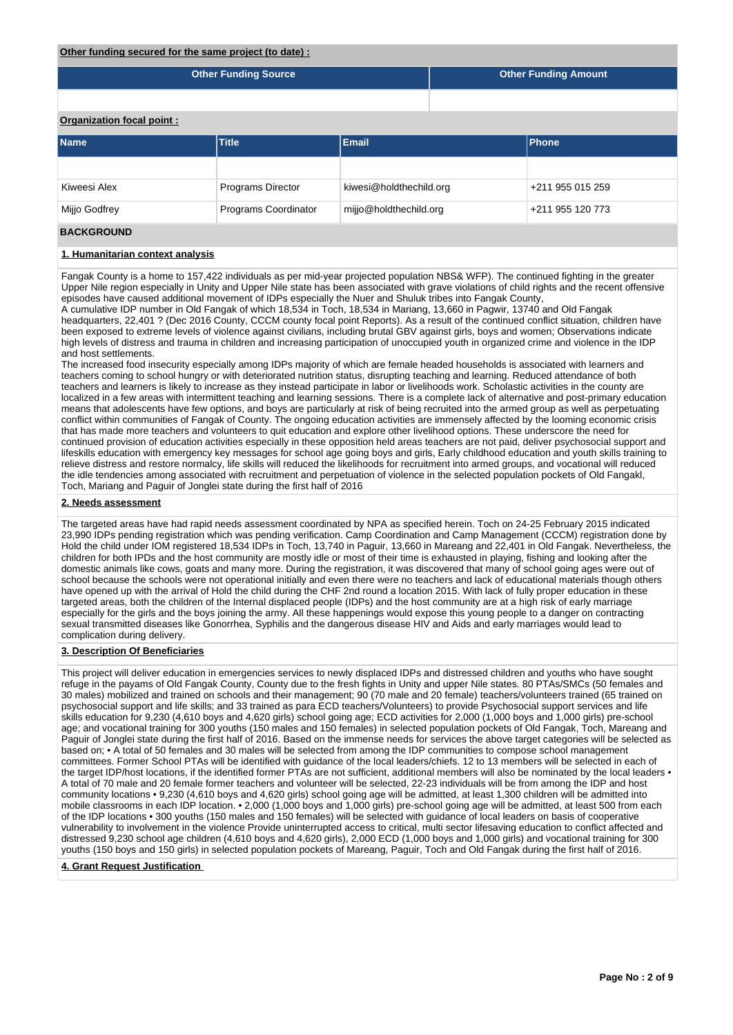#### **Other funding secured for the same project (to date) :**

| Other Funding Source | <b>Other Funding Amount</b> |
|----------------------|-----------------------------|

# **Organization focal point :**

| <b>Name</b>   | <b>Title</b>             | <b>IPhone</b>           |                  |
|---------------|--------------------------|-------------------------|------------------|
|               |                          |                         |                  |
| Kiweesi Alex  | <b>Programs Director</b> | kiwesi@holdthechild.org | +211 955 015 259 |
| Mijjo Godfrey | Programs Coordinator     | mijjo@holdthechild.org  | +211 955 120 773 |
|               |                          |                         |                  |

# **BACKGROUND**

# **1. Humanitarian context analysis**

Fangak County is a home to 157,422 individuals as per mid-year projected population NBS& WFP). The continued fighting in the greater Upper Nile region especially in Unity and Upper Nile state has been associated with grave violations of child rights and the recent offensive episodes have caused additional movement of IDPs especially the Nuer and Shuluk tribes into Fangak County,

A cumulative IDP number in Old Fangak of which 18,534 in Toch, 18,534 in Mariang, 13,660 in Pagwir, 13740 and Old Fangak headquarters, 22,401 ? (Dec 2016 County, CCCM county focal point Reports). As a result of the continued conflict situation, children have been exposed to extreme levels of violence against civilians, including brutal GBV against girls, boys and women; Observations indicate high levels of distress and trauma in children and increasing participation of unoccupied youth in organized crime and violence in the IDP and host settlements.

The increased food insecurity especially among IDPs majority of which are female headed households is associated with learners and teachers coming to school hungry or with deteriorated nutrition status, disrupting teaching and learning. Reduced attendance of both teachers and learners is likely to increase as they instead participate in labor or livelihoods work. Scholastic activities in the county are localized in a few areas with intermittent teaching and learning sessions. There is a complete lack of alternative and post-primary education means that adolescents have few options, and boys are particularly at risk of being recruited into the armed group as well as perpetuating conflict within communities of Fangak of County. The ongoing education activities are immensely affected by the looming economic crisis that has made more teachers and volunteers to quit education and explore other livelihood options. These underscore the need for continued provision of education activities especially in these opposition held areas teachers are not paid, deliver psychosocial support and lifeskills education with emergency key messages for school age going boys and girls, Early childhood education and youth skills training to relieve distress and restore normalcy, life skills will reduced the likelihoods for recruitment into armed groups, and vocational will reduced the idle tendencies among associated with recruitment and perpetuation of violence in the selected population pockets of Old Fangakl, Toch, Mariang and Paguir of Jonglei state during the first half of 2016

#### **2. Needs assessment**

The targeted areas have had rapid needs assessment coordinated by NPA as specified herein. Toch on 24-25 February 2015 indicated 23,990 IDPs pending registration which was pending verification. Camp Coordination and Camp Management (CCCM) registration done by Hold the child under IOM registered 18,534 IDPs in Toch, 13,740 in Paguir, 13,660 in Mareang and 22,401 in Old Fangak. Nevertheless, the children for both IPDs and the host community are mostly idle or most of their time is exhausted in playing, fishing and looking after the domestic animals like cows, goats and many more. During the registration, it was discovered that many of school going ages were out of school because the schools were not operational initially and even there were no teachers and lack of educational materials though others have opened up with the arrival of Hold the child during the CHF 2nd round a location 2015. With lack of fully proper education in these targeted areas, both the children of the Internal displaced people (IDPs) and the host community are at a high risk of early marriage especially for the girls and the boys joining the army. All these happenings would expose this young people to a danger on contracting sexual transmitted diseases like Gonorrhea, Syphilis and the dangerous disease HIV and Aids and early marriages would lead to complication during delivery.

# **3. Description Of Beneficiaries**

This project will deliver education in emergencies services to newly displaced IDPs and distressed children and youths who have sought refuge in the payams of Old Fangak County, County due to the fresh fights in Unity and upper Nile states. 80 PTAs/SMCs (50 females and 30 males) mobilized and trained on schools and their management; 90 (70 male and 20 female) teachers/volunteers trained (65 trained on psychosocial support and life skills; and 33 trained as para ECD teachers/Volunteers) to provide Psychosocial support services and life skills education for 9,230 (4,610 boys and 4,620 girls) school going age; ECD activities for 2,000 (1,000 boys and 1,000 girls) pre-school age; and vocational training for 300 youths (150 males and 150 females) in selected population pockets of Old Fangak, Toch, Mareang and Paguir of Jonglei state during the first half of 2016. Based on the immense needs for services the above target categories will be selected as based on; • A total of 50 females and 30 males will be selected from among the IDP communities to compose school management committees. Former School PTAs will be identified with guidance of the local leaders/chiefs. 12 to 13 members will be selected in each of the target IDP/host locations, if the identified former PTAs are not sufficient, additional members will also be nominated by the local leaders • A total of 70 male and 20 female former teachers and volunteer will be selected, 22-23 individuals will be from among the IDP and host community locations • 9,230 (4,610 boys and 4,620 girls) school going age will be admitted, at least 1,300 children will be admitted into mobile classrooms in each IDP location. • 2,000 (1,000 boys and 1,000 girls) pre-school going age will be admitted, at least 500 from each of the IDP locations • 300 youths (150 males and 150 females) will be selected with guidance of local leaders on basis of cooperative vulnerability to involvement in the violence Provide uninterrupted access to critical, multi sector lifesaving education to conflict affected and distressed 9,230 school age children (4,610 boys and 4,620 girls), 2,000 ECD (1,000 boys and 1,000 girls) and vocational training for 300 youths (150 boys and 150 girls) in selected population pockets of Mareang, Paguir, Toch and Old Fangak during the first half of 2016.

# **4. Grant Request Justification**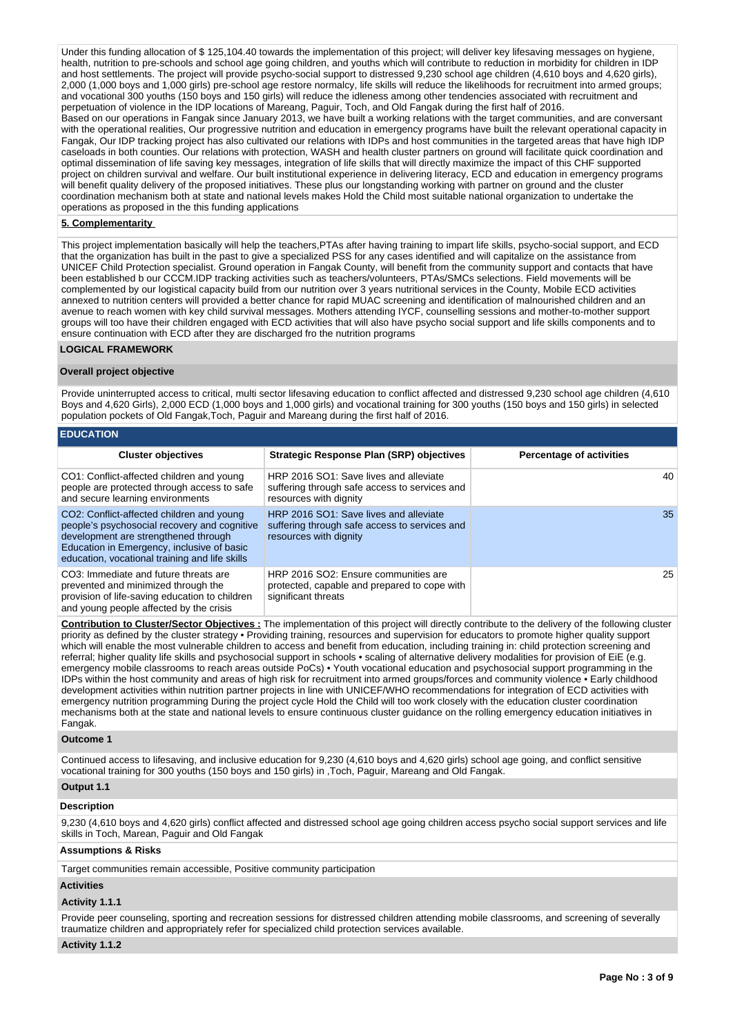Under this funding allocation of \$125,104.40 towards the implementation of this project: will deliver key lifesaving messages on hygiene. health, nutrition to pre-schools and school age going children, and youths which will contribute to reduction in morbidity for children in IDP and host settlements. The project will provide psycho-social support to distressed 9,230 school age children (4,610 boys and 4,620 girls), 2,000 (1,000 boys and 1,000 girls) pre-school age restore normalcy, life skills will reduce the likelihoods for recruitment into armed groups; and vocational 300 youths (150 boys and 150 girls) will reduce the idleness among other tendencies associated with recruitment and perpetuation of violence in the IDP locations of Mareang, Paguir, Toch, and Old Fangak during the first half of 2016. Based on our operations in Fangak since January 2013, we have built a working relations with the target communities, and are conversant with the operational realities, Our progressive nutrition and education in emergency programs have built the relevant operational capacity in Fangak, Our IDP tracking project has also cultivated our relations with IDPs and host communities in the targeted areas that have high IDP caseloads in both counties. Our relations with protection, WASH and health cluster partners on ground will facilitate quick coordination and optimal dissemination of life saving key messages, integration of life skills that will directly maximize the impact of this CHF supported project on children survival and welfare. Our built institutional experience in delivering literacy, ECD and education in emergency programs will benefit quality delivery of the proposed initiatives. These plus our longstanding working with partner on ground and the cluster coordination mechanism both at state and national levels makes Hold the Child most suitable national organization to undertake the operations as proposed in the this funding applications

# **5. Complementarity**

This project implementation basically will help the teachers,PTAs after having training to impart life skills, psycho-social support, and ECD that the organization has built in the past to give a specialized PSS for any cases identified and will capitalize on the assistance from UNICEF Child Protection specialist. Ground operation in Fangak County, will benefit from the community support and contacts that have been established b our CCCM.IDP tracking activities such as teachers/volunteers, PTAs/SMCs selections. Field movements will be complemented by our logistical capacity build from our nutrition over 3 years nutritional services in the County, Mobile ECD activities annexed to nutrition centers will provided a better chance for rapid MUAC screening and identification of malnourished children and an avenue to reach women with key child survival messages. Mothers attending IYCF, counselling sessions and mother-to-mother support groups will too have their children engaged with ECD activities that will also have psycho social support and life skills components and to ensure continuation with ECD after they are discharged fro the nutrition programs

# **LOGICAL FRAMEWORK**

#### **Overall project objective**

Provide uninterrupted access to critical, multi sector lifesaving education to conflict affected and distressed 9,230 school age children (4,610 Boys and 4,620 Girls), 2,000 ECD (1,000 boys and 1,000 girls) and vocational training for 300 youths (150 boys and 150 girls) in selected population pockets of Old Fangak,Toch, Paguir and Mareang during the first half of 2016.

| <b>EDUCATION</b>                                                                                                                                                                                                                  |                                                                                                                   |                          |  |  |  |  |  |  |  |  |
|-----------------------------------------------------------------------------------------------------------------------------------------------------------------------------------------------------------------------------------|-------------------------------------------------------------------------------------------------------------------|--------------------------|--|--|--|--|--|--|--|--|
| <b>Cluster objectives</b>                                                                                                                                                                                                         | Strategic Response Plan (SRP) objectives                                                                          | Percentage of activities |  |  |  |  |  |  |  |  |
| CO1: Conflict-affected children and young<br>people are protected through access to safe<br>and secure learning environments                                                                                                      | HRP 2016 SO1: Save lives and alleviate<br>suffering through safe access to services and<br>resources with dignity | 40                       |  |  |  |  |  |  |  |  |
| CO2: Conflict-affected children and young<br>people's psychosocial recovery and cognitive<br>development are strengthened through<br>Education in Emergency, inclusive of basic<br>education, vocational training and life skills | HRP 2016 SO1: Save lives and alleviate<br>suffering through safe access to services and<br>resources with dignity | 35                       |  |  |  |  |  |  |  |  |
| CO3: Immediate and future threats are<br>prevented and minimized through the<br>provision of life-saving education to children<br>and young people affected by the crisis                                                         | HRP 2016 SO2: Ensure communities are<br>protected, capable and prepared to cope with<br>significant threats       | 25                       |  |  |  |  |  |  |  |  |

**Contribution to Cluster/Sector Objectives :** The implementation of this project will directly contribute to the delivery of the following cluster priority as defined by the cluster strategy • Providing training, resources and supervision for educators to promote higher quality support which will enable the most vulnerable children to access and benefit from education, including training in: child protection screening and referral; higher quality life skills and psychosocial support in schools • scaling of alternative delivery modalities for provision of EiE (e.g. emergency mobile classrooms to reach areas outside PoCs) • Youth vocational education and psychosocial support programming in the IDPs within the host community and areas of high risk for recruitment into armed groups/forces and community violence • Early childhood development activities within nutrition partner projects in line with UNICEF/WHO recommendations for integration of ECD activities with emergency nutrition programming During the project cycle Hold the Child will too work closely with the education cluster coordination mechanisms both at the state and national levels to ensure continuous cluster guidance on the rolling emergency education initiatives in Fangak.

#### **Outcome 1**

Continued access to lifesaving, and inclusive education for 9,230 (4,610 boys and 4,620 girls) school age going, and conflict sensitive vocational training for 300 youths (150 boys and 150 girls) in ,Toch, Paguir, Mareang and Old Fangak.

# **Output 1.1**

#### **Description**

9,230 (4,610 boys and 4,620 girls) conflict affected and distressed school age going children access psycho social support services and life skills in Toch, Marean, Paguir and Old Fangak

#### **Assumptions & Risks**

Target communities remain accessible, Positive community participation

#### **Activities**

#### **Activity 1.1.1**

Provide peer counseling, sporting and recreation sessions for distressed children attending mobile classrooms, and screening of severally traumatize children and appropriately refer for specialized child protection services available.

#### **Activity 1.1.2**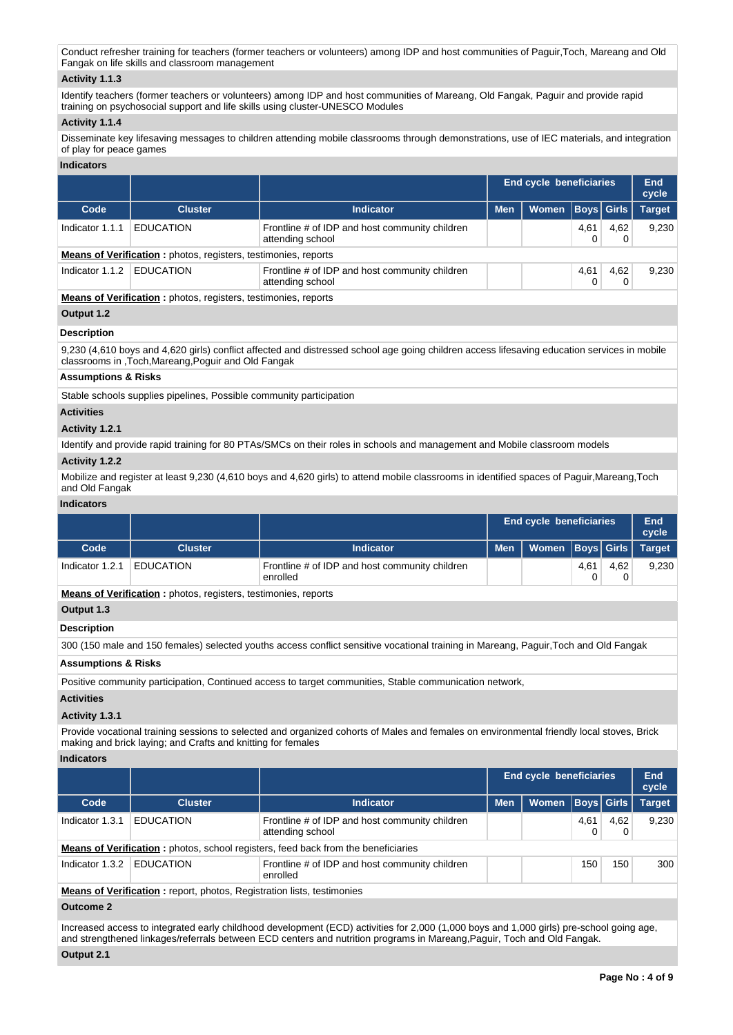Conduct refresher training for teachers (former teachers or volunteers) among IDP and host communities of Paguir,Toch, Mareang and Old Fangak on life skills and classroom management

# **Activity 1.1.3**

Identify teachers (former teachers or volunteers) among IDP and host communities of Mareang, Old Fangak, Paguir and provide rapid training on psychosocial support and life skills using cluster-UNESCO Modules

# **Activity 1.1.4**

Disseminate key lifesaving messages to children attending mobile classrooms through demonstrations, use of IEC materials, and integration of play for peace games

# **Indicators**

|                 |                                                                       |                                                                    |            | <b>End cycle beneficiaries</b> |      |            |               |  |  |  |
|-----------------|-----------------------------------------------------------------------|--------------------------------------------------------------------|------------|--------------------------------|------|------------|---------------|--|--|--|
| Code            | <b>Cluster</b>                                                        | <b>Indicator</b>                                                   | <b>Men</b> | Women                          |      | Boys Girls | <b>Target</b> |  |  |  |
| Indicator 1.1.1 | <b>EDUCATION</b>                                                      | Frontline # of IDP and host community children<br>attending school |            |                                | 4,61 | 4,62       | 9,230         |  |  |  |
|                 | <b>Means of Verification:</b> photos, registers, testimonies, reports |                                                                    |            |                                |      |            |               |  |  |  |
| Indicator 1.1.2 | <b>EDUCATION</b>                                                      | Frontline # of IDP and host community children<br>attending school |            |                                | 4,61 | 4,62       | 9,230         |  |  |  |
|                 | <b>Means of Verification:</b> photos, registers, testimonies, reports |                                                                    |            |                                |      |            |               |  |  |  |

**Output 1.2**

# **Description**

9,230 (4,610 boys and 4,620 girls) conflict affected and distressed school age going children access lifesaving education services in mobile classrooms in ,Toch,Mareang,Poguir and Old Fangak

# **Assumptions & Risks**

Stable schools supplies pipelines, Possible community participation

# **Activities**

# **Activity 1.2.1**

Identify and provide rapid training for 80 PTAs/SMCs on their roles in schools and management and Mobile classroom models

# **Activity 1.2.2**

Mobilize and register at least 9,230 (4,610 boys and 4,620 girls) to attend mobile classrooms in identified spaces of Paguir,Mareang,Toch and Old Fangak

# **Indicators**

|                                                                       |                  |                                                            | <b>End cycle beneficiaries</b> | End<br>cycle                  |      |      |       |
|-----------------------------------------------------------------------|------------------|------------------------------------------------------------|--------------------------------|-------------------------------|------|------|-------|
| Code                                                                  | <b>Cluster</b>   | <b>Indicator</b>                                           | <b>Men</b>                     | Women   Boys   Girls   Target |      |      |       |
| Indicator 1.2.1                                                       | <b>EDUCATION</b> | Frontline # of IDP and host community children<br>enrolled |                                |                               | 4,61 | 4,62 | 9,230 |
| <b>Means of Verification:</b> photos, registers, testimonies, reports |                  |                                                            |                                |                               |      |      |       |

# **Output 1.3**

# **Description**

300 (150 male and 150 females) selected youths access conflict sensitive vocational training in Mareang, Paguir,Toch and Old Fangak

# **Assumptions & Risks**

Positive community participation, Continued access to target communities, Stable communication network,

# **Activities**

# **Activity 1.3.1**

Provide vocational training sessions to selected and organized cohorts of Males and females on environmental friendly local stoves, Brick making and brick laying; and Crafts and knitting for females

# **Indicators**

|                                                                               |                  |                                                                                          | <b>End cycle beneficiaries</b> | <b>End</b><br>cycle |                   |      |               |  |  |
|-------------------------------------------------------------------------------|------------------|------------------------------------------------------------------------------------------|--------------------------------|---------------------|-------------------|------|---------------|--|--|
| Code                                                                          | <b>Cluster</b>   | <b>Indicator</b>                                                                         | <b>Men</b>                     | <b>Women</b>        | <b>Boys</b> Girls |      | <b>Target</b> |  |  |
| Indicator 1.3.1                                                               | <b>EDUCATION</b> | Frontline # of IDP and host community children<br>attending school                       |                                |                     | 4,61              | 4,62 | 9,230         |  |  |
|                                                                               |                  | <b>Means of Verification:</b> photos, school registers, feed back from the beneficiaries |                                |                     |                   |      |               |  |  |
| Indicator 1.3.2                                                               | <b>EDUCATION</b> | Frontline # of IDP and host community children<br>enrolled                               |                                |                     | 150               | 150  | 300           |  |  |
| <b>Means of Verification:</b> report, photos, Registration lists, testimonies |                  |                                                                                          |                                |                     |                   |      |               |  |  |
| <b>Outcome 2</b>                                                              |                  |                                                                                          |                                |                     |                   |      |               |  |  |

Increased access to integrated early childhood development (ECD) activities for 2,000 (1,000 boys and 1,000 girls) pre-school going age, and strengthened linkages/referrals between ECD centers and nutrition programs in Mareang,Paguir, Toch and Old Fangak.

# **Output 2.1**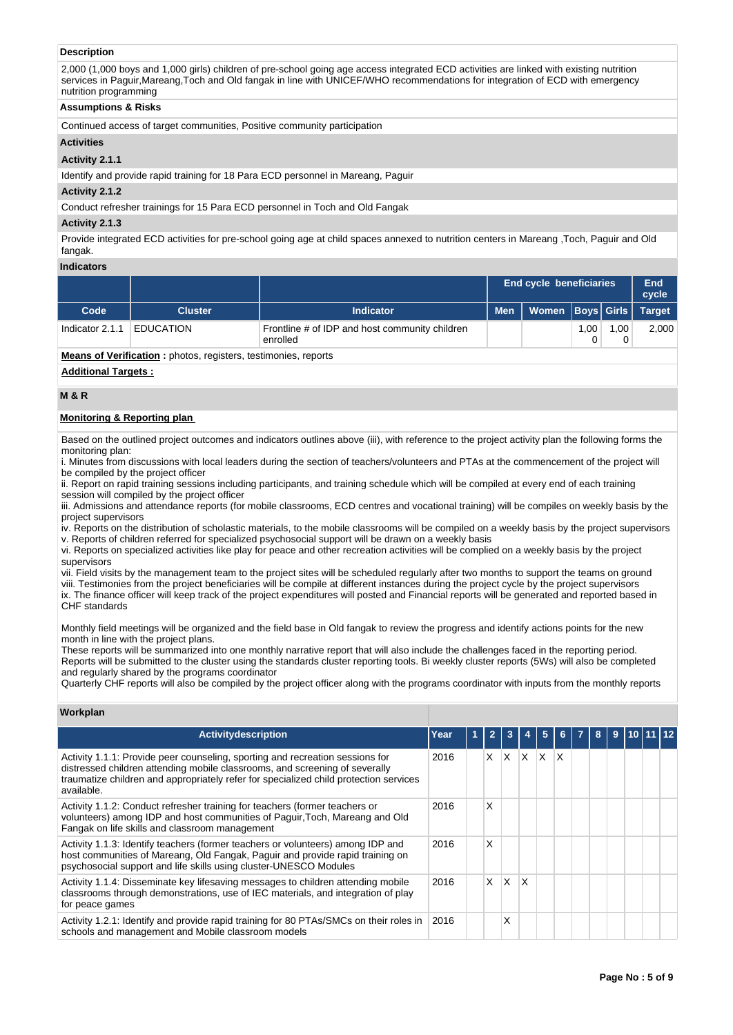# **Description**

2,000 (1,000 boys and 1,000 girls) children of pre-school going age access integrated ECD activities are linked with existing nutrition services in Paguir,Mareang,Toch and Old fangak in line with UNICEF/WHO recommendations for integration of ECD with emergency nutrition programming

# **Assumptions & Risks**

Continued access of target communities, Positive community participation

# **Activities**

# **Activity 2.1.1**

Identify and provide rapid training for 18 Para ECD personnel in Mareang, Paguir

#### **Activity 2.1.2**

Conduct refresher trainings for 15 Para ECD personnel in Toch and Old Fangak

# **Activity 2.1.3**

Provide integrated ECD activities for pre-school going age at child spaces annexed to nutrition centers in Mareang ,Toch, Paguir and Old fangak.

# **Indicators**

|                                                                       |                  |                                                            | <b>End cycle beneficiaries</b> | End<br>cycle         |      |      |               |
|-----------------------------------------------------------------------|------------------|------------------------------------------------------------|--------------------------------|----------------------|------|------|---------------|
| Code                                                                  | <b>Cluster</b>   | <b>Indicator</b>                                           | <b>Men</b>                     | Women   Boys   Girls |      |      | <b>Target</b> |
| Indicator 2.1.1                                                       | <b>EDUCATION</b> | Frontline # of IDP and host community children<br>enrolled |                                |                      | 1.00 | 1.00 | 2,000         |
| <b>Means of Verification:</b> photos, registers, testimonies, reports |                  |                                                            |                                |                      |      |      |               |

**Additional Targets :**

# **M & R**

# **Monitoring & Reporting plan**

Based on the outlined project outcomes and indicators outlines above (iii), with reference to the project activity plan the following forms the monitoring plan:

i. Minutes from discussions with local leaders during the section of teachers/volunteers and PTAs at the commencement of the project will be compiled by the project officer

ii. Report on rapid training sessions including participants, and training schedule which will be compiled at every end of each training session will compiled by the project officer

iii. Admissions and attendance reports (for mobile classrooms, ECD centres and vocational training) will be compiles on weekly basis by the project supervisors

iv. Reports on the distribution of scholastic materials, to the mobile classrooms will be compiled on a weekly basis by the project supervisors v. Reports of children referred for specialized psychosocial support will be drawn on a weekly basis

vi. Reports on specialized activities like play for peace and other recreation activities will be complied on a weekly basis by the project supervisors

vii. Field visits by the management team to the project sites will be scheduled regularly after two months to support the teams on ground viii. Testimonies from the project beneficiaries will be compile at different instances during the project cycle by the project supervisors ix. The finance officer will keep track of the project expenditures will posted and Financial reports will be generated and reported based in

CHF standards

Monthly field meetings will be organized and the field base in Old fangak to review the progress and identify actions points for the new month in line with the project plans.

These reports will be summarized into one monthly narrative report that will also include the challenges faced in the reporting period. Reports will be submitted to the cluster using the standards cluster reporting tools. Bi weekly cluster reports (5Ws) will also be completed and regularly shared by the programs coordinator

Quarterly CHF reports will also be compiled by the project officer along with the programs coordinator with inputs from the monthly reports

# **Workplan**

| <b>Activitydescription</b>                                                                                                                                                                                                                                          | Year |  | $\overline{\phantom{a}}$ | 3   |     | 5   | 6 |  | 8. | 9 |  |  |
|---------------------------------------------------------------------------------------------------------------------------------------------------------------------------------------------------------------------------------------------------------------------|------|--|--------------------------|-----|-----|-----|---|--|----|---|--|--|
| Activity 1.1.1: Provide peer counseling, sporting and recreation sessions for<br>distressed children attending mobile classrooms, and screening of severally<br>traumatize children and appropriately refer for specialized child protection services<br>available. | 2016 |  | X.                       | ΙX. | ΙX. | ΙX. | X |  |    |   |  |  |
| Activity 1.1.2: Conduct refresher training for teachers (former teachers or<br>volunteers) among IDP and host communities of Paguir, Toch, Mareang and Old<br>Fangak on life skills and classroom management                                                        | 2016 |  | X                        |     |     |     |   |  |    |   |  |  |
| Activity 1.1.3: Identify teachers (former teachers or volunteers) among IDP and<br>host communities of Mareang, Old Fangak, Paguir and provide rapid training on<br>psychosocial support and life skills using cluster-UNESCO Modules                               | 2016 |  | X                        |     |     |     |   |  |    |   |  |  |
| Activity 1.1.4: Disseminate key lifesaving messages to children attending mobile<br>classrooms through demonstrations, use of IEC materials, and integration of play<br>for peace games                                                                             | 2016 |  | $\times$                 | ΙX. | ΙX  |     |   |  |    |   |  |  |
| Activity 1.2.1: Identify and provide rapid training for 80 PTAs/SMCs on their roles in<br>schools and management and Mobile classroom models                                                                                                                        | 2016 |  |                          | Χ   |     |     |   |  |    |   |  |  |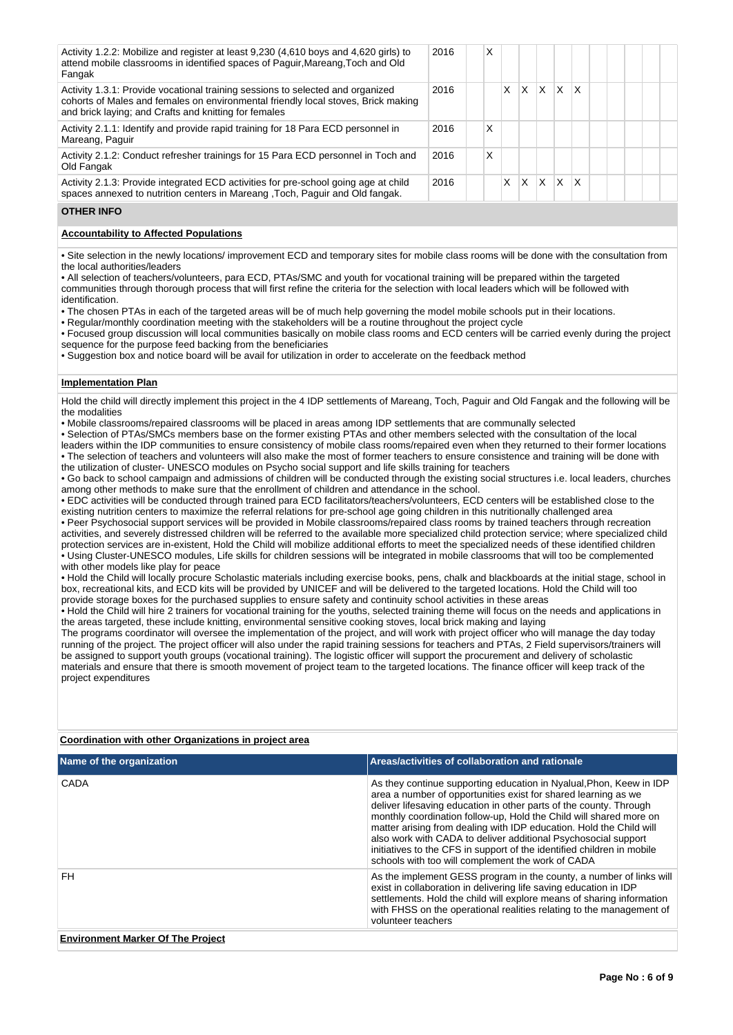| Activity 1.2.2: Mobilize and register at least 9,230 (4,610 boys and 4,620 girls) to<br>attend mobile classrooms in identified spaces of Paguir, Mareang, Toch and Old<br>Fangak                                             | 2016 | x |   |   |    |         |              |  |  |  |
|------------------------------------------------------------------------------------------------------------------------------------------------------------------------------------------------------------------------------|------|---|---|---|----|---------|--------------|--|--|--|
| Activity 1.3.1: Provide vocational training sessions to selected and organized<br>cohorts of Males and females on environmental friendly local stoves, Brick making<br>and brick laying; and Crafts and knitting for females | 2016 |   | x | X | ΙX | X       | $\mathsf{x}$ |  |  |  |
| Activity 2.1.1: Identify and provide rapid training for 18 Para ECD personnel in<br>Mareang, Paguir                                                                                                                          | 2016 | X |   |   |    |         |              |  |  |  |
| Activity 2.1.2: Conduct refresher trainings for 15 Para ECD personnel in Toch and<br>Old Fangak                                                                                                                              | 2016 | x |   |   |    |         |              |  |  |  |
| Activity 2.1.3: Provide integrated ECD activities for pre-school going age at child<br>spaces annexed to nutrition centers in Mareang , Toch, Paguir and Old fangak.                                                         | 2016 |   | X | X | ΙX | $X$ $X$ |              |  |  |  |

# **OTHER INFO**

# **Accountability to Affected Populations**

• Site selection in the newly locations/ improvement ECD and temporary sites for mobile class rooms will be done with the consultation from the local authorities/leaders

• All selection of teachers/volunteers, para ECD, PTAs/SMC and youth for vocational training will be prepared within the targeted communities through thorough process that will first refine the criteria for the selection with local leaders which will be followed with identification.

• The chosen PTAs in each of the targeted areas will be of much help governing the model mobile schools put in their locations.

• Regular/monthly coordination meeting with the stakeholders will be a routine throughout the project cycle

• Focused group discussion will local communities basically on mobile class rooms and ECD centers will be carried evenly during the project sequence for the purpose feed backing from the beneficiaries

• Suggestion box and notice board will be avail for utilization in order to accelerate on the feedback method

# **Implementation Plan**

Hold the child will directly implement this project in the 4 IDP settlements of Mareang, Toch, Paguir and Old Fangak and the following will be the modalities

• Mobile classrooms/repaired classrooms will be placed in areas among IDP settlements that are communally selected

• Selection of PTAs/SMCs members base on the former existing PTAs and other members selected with the consultation of the local leaders within the IDP communities to ensure consistency of mobile class rooms/repaired even when they returned to their former locations • The selection of teachers and volunteers will also make the most of former teachers to ensure consistence and training will be done with

the utilization of cluster- UNESCO modules on Psycho social support and life skills training for teachers • Go back to school campaign and admissions of children will be conducted through the existing social structures i.e. local leaders, churches

among other methods to make sure that the enrollment of children and attendance in the school. • EDC activities will be conducted through trained para ECD facilitators/teachers/volunteers, ECD centers will be established close to the

existing nutrition centers to maximize the referral relations for pre-school age going children in this nutritionally challenged area • Peer Psychosocial support services will be provided in Mobile classrooms/repaired class rooms by trained teachers through recreation activities, and severely distressed children will be referred to the available more specialized child protection service; where specialized child protection services are in-existent, Hold the Child will mobilize additional efforts to meet the specialized needs of these identified children • Using Cluster-UNESCO modules, Life skills for children sessions will be integrated in mobile classrooms that will too be complemented with other models like play for peace

• Hold the Child will locally procure Scholastic materials including exercise books, pens, chalk and blackboards at the initial stage, school in box, recreational kits, and ECD kits will be provided by UNICEF and will be delivered to the targeted locations. Hold the Child will too provide storage boxes for the purchased supplies to ensure safety and continuity school activities in these areas

• Hold the Child will hire 2 trainers for vocational training for the youths, selected training theme will focus on the needs and applications in the areas targeted, these include knitting, environmental sensitive cooking stoves, local brick making and laying

The programs coordinator will oversee the implementation of the project, and will work with project officer who will manage the day today running of the project. The project officer will also under the rapid training sessions for teachers and PTAs, 2 Field supervisors/trainers will be assigned to support youth groups (vocational training). The logistic officer will support the procurement and delivery of scholastic materials and ensure that there is smooth movement of project team to the targeted locations. The finance officer will keep track of the project expenditures

# **Coordination with other Organizations in project area**

| Name of the organization                 | Areas/activities of collaboration and rationale                                                                                                                                                                                                                                                                                                                                                                                                                                                                                                           |
|------------------------------------------|-----------------------------------------------------------------------------------------------------------------------------------------------------------------------------------------------------------------------------------------------------------------------------------------------------------------------------------------------------------------------------------------------------------------------------------------------------------------------------------------------------------------------------------------------------------|
| CADA                                     | As they continue supporting education in Nyalual, Phon, Keew in IDP<br>area a number of opportunities exist for shared learning as we<br>deliver lifesaving education in other parts of the county. Through<br>monthly coordination follow-up, Hold the Child will shared more on<br>matter arising from dealing with IDP education. Hold the Child will<br>also work with CADA to deliver additional Psychosocial support<br>initiatives to the CFS in support of the identified children in mobile<br>schools with too will complement the work of CADA |
| FH.                                      | As the implement GESS program in the county, a number of links will<br>exist in collaboration in delivering life saving education in IDP<br>settlements. Hold the child will explore means of sharing information<br>with FHSS on the operational realities relating to the management of<br>volunteer teachers                                                                                                                                                                                                                                           |
| <b>Environment Marker Of The Project</b> |                                                                                                                                                                                                                                                                                                                                                                                                                                                                                                                                                           |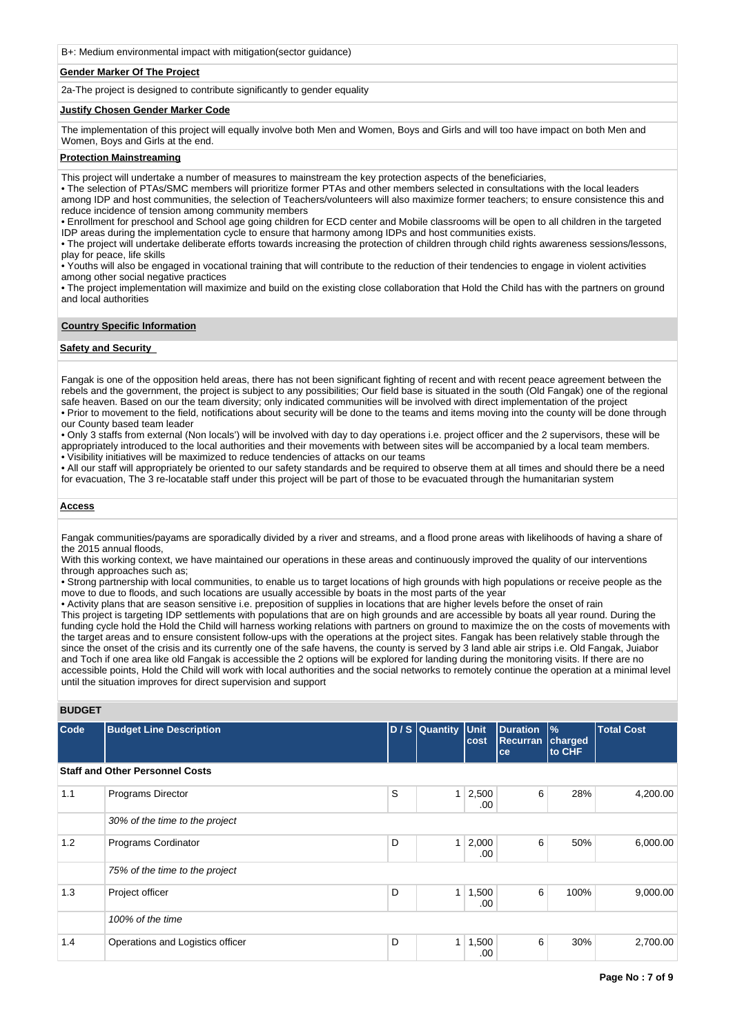B+: Medium environmental impact with mitigation(sector guidance)

# **Gender Marker Of The Project**

2a-The project is designed to contribute significantly to gender equality

# **Justify Chosen Gender Marker Code**

The implementation of this project will equally involve both Men and Women, Boys and Girls and will too have impact on both Men and Women, Boys and Girls at the end.

# **Protection Mainstreaming**

This project will undertake a number of measures to mainstream the key protection aspects of the beneficiaries,

• The selection of PTAs/SMC members will prioritize former PTAs and other members selected in consultations with the local leaders among IDP and host communities, the selection of Teachers/volunteers will also maximize former teachers; to ensure consistence this and reduce incidence of tension among community members

• Enrollment for preschool and School age going children for ECD center and Mobile classrooms will be open to all children in the targeted IDP areas during the implementation cycle to ensure that harmony among IDPs and host communities exists.

• The project will undertake deliberate efforts towards increasing the protection of children through child rights awareness sessions/lessons, play for peace, life skills

• Youths will also be engaged in vocational training that will contribute to the reduction of their tendencies to engage in violent activities among other social negative practices

• The project implementation will maximize and build on the existing close collaboration that Hold the Child has with the partners on ground and local authorities

# **Country Specific Information**

# **Safety and Security**

Fangak is one of the opposition held areas, there has not been significant fighting of recent and with recent peace agreement between the rebels and the government, the project is subject to any possibilities; Our field base is situated in the south (Old Fangak) one of the regional safe heaven. Based on our the team diversity; only indicated communities will be involved with direct implementation of the project • Prior to movement to the field, notifications about security will be done to the teams and items moving into the county will be done through our County based team leader

• Only 3 staffs from external (Non locals') will be involved with day to day operations i.e. project officer and the 2 supervisors, these will be appropriately introduced to the local authorities and their movements with between sites will be accompanied by a local team members. • Visibility initiatives will be maximized to reduce tendencies of attacks on our teams

• All our staff will appropriately be oriented to our safety standards and be required to observe them at all times and should there be a need for evacuation, The 3 re-locatable staff under this project will be part of those to be evacuated through the humanitarian system

# **Access**

Fangak communities/payams are sporadically divided by a river and streams, and a flood prone areas with likelihoods of having a share of the 2015 annual floods,

With this working context, we have maintained our operations in these areas and continuously improved the quality of our interventions through approaches such as;

• Strong partnership with local communities, to enable us to target locations of high grounds with high populations or receive people as the move to due to floods, and such locations are usually accessible by boats in the most parts of the year

• Activity plans that are season sensitive i.e. preposition of supplies in locations that are higher levels before the onset of rain

This project is targeting IDP settlements with populations that are on high grounds and are accessible by boats all year round. During the funding cycle hold the Hold the Child will harness working relations with partners on ground to maximize the on the costs of movements with the target areas and to ensure consistent follow-ups with the operations at the project sites. Fangak has been relatively stable through the since the onset of the crisis and its currently one of the safe havens, the county is served by 3 land able air strips i.e. Old Fangak, Juiabor and Toch if one area like old Fangak is accessible the 2 options will be explored for landing during the monitoring visits. If there are no accessible points, Hold the Child will work with local authorities and the social networks to remotely continue the operation at a minimal level until the situation improves for direct supervision and support

| <b>BUDGET</b> |                                        |   |                |               |                                   |                                    |                   |
|---------------|----------------------------------------|---|----------------|---------------|-----------------------------------|------------------------------------|-------------------|
| Code          | <b>Budget Line Description</b>         |   | D / S Quantity | Unit<br>cost  | <b>Duration</b><br>Recurran<br>ce | $\frac{9}{6}$<br>charged<br>to CHF | <b>Total Cost</b> |
|               | <b>Staff and Other Personnel Costs</b> |   |                |               |                                   |                                    |                   |
| 1.1           | Programs Director                      | S | 1              | 2,500<br>.00. | 6                                 | 28%                                | 4,200.00          |
|               | 30% of the time to the project         |   |                |               |                                   |                                    |                   |
| 1.2           | Programs Cordinator                    | D | $\mathbf{1}$   | 2,000<br>.00. | 6                                 | 50%                                | 6,000.00          |
|               | 75% of the time to the project         |   |                |               |                                   |                                    |                   |
| 1.3           | Project officer                        | D | 1              | 1,500<br>.00  | 6                                 | 100%                               | 9,000.00          |
|               | 100% of the time                       |   |                |               |                                   |                                    |                   |
| 1.4           | Operations and Logistics officer       | D | $\mathbf{1}$   | 1,500<br>.00  | 6                                 | 30%                                | 2,700.00          |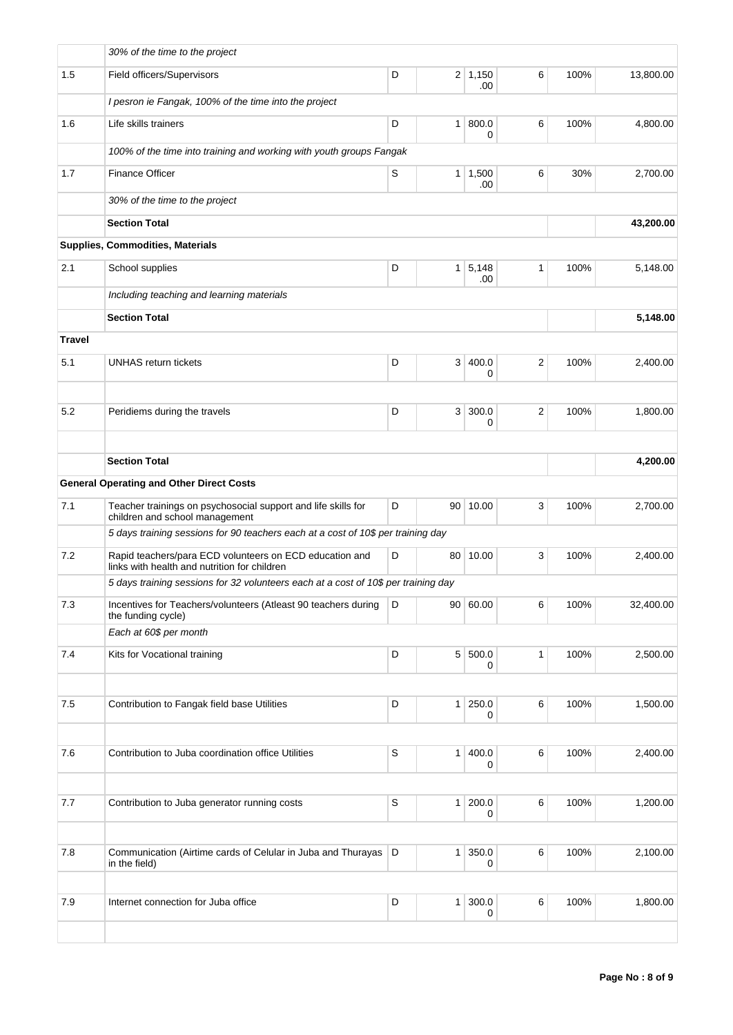|               | 30% of the time to the project                                                                          |                  |                |                       |          |      |           |
|---------------|---------------------------------------------------------------------------------------------------------|------------------|----------------|-----------------------|----------|------|-----------|
| 1.5           | Field officers/Supervisors                                                                              | D                |                | $2 \mid 1,150$<br>.00 | 6        | 100% | 13,800.00 |
|               | I pesron ie Fangak, 100% of the time into the project                                                   |                  |                |                       |          |      |           |
| 1.6           | Life skills trainers                                                                                    | D                | 1 <sup>1</sup> | 800.0<br>0            | 6        | 100% | 4,800.00  |
|               | 100% of the time into training and working with youth groups Fangak                                     |                  |                |                       |          |      |           |
| 1.7           | <b>Finance Officer</b>                                                                                  | 1   1,500<br>.00 | 6              | 30%                   | 2,700.00 |      |           |
|               | 30% of the time to the project                                                                          |                  |                |                       |          |      |           |
|               | <b>Section Total</b>                                                                                    |                  |                |                       |          |      | 43,200.00 |
|               | <b>Supplies, Commodities, Materials</b>                                                                 |                  |                |                       |          |      |           |
| 2.1           | School supplies                                                                                         | 100%             | 5,148.00       |                       |          |      |           |
|               | Including teaching and learning materials                                                               |                  |                |                       |          |      |           |
|               | <b>Section Total</b>                                                                                    |                  |                |                       |          |      | 5,148.00  |
| <b>Travel</b> |                                                                                                         |                  |                |                       |          |      |           |
| 5.1           | <b>UNHAS return tickets</b>                                                                             | D                |                | 3   400.0<br>0        | 2        | 100% | 2,400.00  |
| 5.2           | Peridiems during the travels                                                                            | D                |                | 3 300.0<br>0          | 2        | 100% | 1,800.00  |
|               |                                                                                                         |                  |                |                       |          |      |           |
|               | <b>Section Total</b>                                                                                    |                  |                |                       |          |      | 4,200.00  |
|               | <b>General Operating and Other Direct Costs</b>                                                         |                  |                |                       |          |      |           |
| 7.1           | Teacher trainings on psychosocial support and life skills for<br>children and school management         | D                |                | 90 10.00              | 3        | 100% | 2,700.00  |
|               | 5 days training sessions for 90 teachers each at a cost of 10\$ per training day                        |                  |                |                       |          |      |           |
| 7.2           | Rapid teachers/para ECD volunteers on ECD education and<br>links with health and nutrition for children | D                | 80             | 10.00                 | 3        | 100% | 2,400.00  |
|               | 5 days training sessions for 32 volunteers each at a cost of 10\$ per training day                      |                  |                |                       |          |      |           |
| $7.3$         | Incentives for Teachers/volunteers (Atleast 90 teachers during<br>the funding cycle)                    | D                |                | 90   60.00            | 6        | 100% | 32,400.00 |
|               | Each at 60\$ per month                                                                                  |                  |                |                       |          |      |           |
| 7.4           | Kits for Vocational training                                                                            | D                |                | 5 500.0<br>0          | 1        | 100% | 2,500.00  |
|               |                                                                                                         |                  |                |                       |          |      |           |
| 7.5           | Contribution to Fangak field base Utilities                                                             | D                |                | 1 250.0<br>0          | $\,6$    | 100% | 1,500.00  |
|               |                                                                                                         |                  |                |                       |          |      |           |
| 7.6           | Contribution to Juba coordination office Utilities                                                      | $\mathbb S$      |                | 1   400.0<br>0        | 6        | 100% | 2,400.00  |
| 7.7           | Contribution to Juba generator running costs                                                            | $\mathbb S$      |                | 1 200.0               | $\,6$    | 100% | 1,200.00  |
|               |                                                                                                         |                  |                | 0                     |          |      |           |
| 7.8           | Communication (Airtime cards of Celular in Juba and Thurayas<br>in the field)                           | D                | 1 <sup>1</sup> | 350.0<br>0            | $\,6$    | 100% | 2,100.00  |
| 7.9           | Internet connection for Juba office                                                                     | D                | 1 <sup>1</sup> | 300.0                 | 6        | 100% | 1,800.00  |
|               |                                                                                                         |                  |                | 0                     |          |      |           |